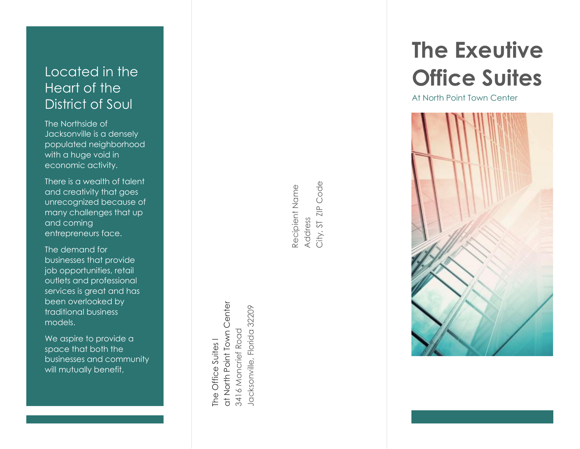## Located in the<br>Heart of the District of Soul

The Northside of Jacksonville is a densely populated neighborhood with a huge void in economic activity.

There is a wealth of talent and creativity that goes unrecognized because of ma ny challenges that up and coming entrepreneurs face.

The demand for businesses that provide job opportunities, retail outlets and professional services is great and has been overlooked by traditional business models.

We aspire to provide a space that both the businesses and community will mutually benefit ,

at North Point Town Center at North Point Town Center lacksonville, Florida 32209 Jacksonville, Florida 32209 3416 Moncrief Road 3416 Moncrief Road The Office Suites I The Office Suites I

Address<br>City, ST ZIP Code City, ST ZIP Code Recipient Name Recipient Name

# **The Exeutive Office Suites**

At North Point Town Center